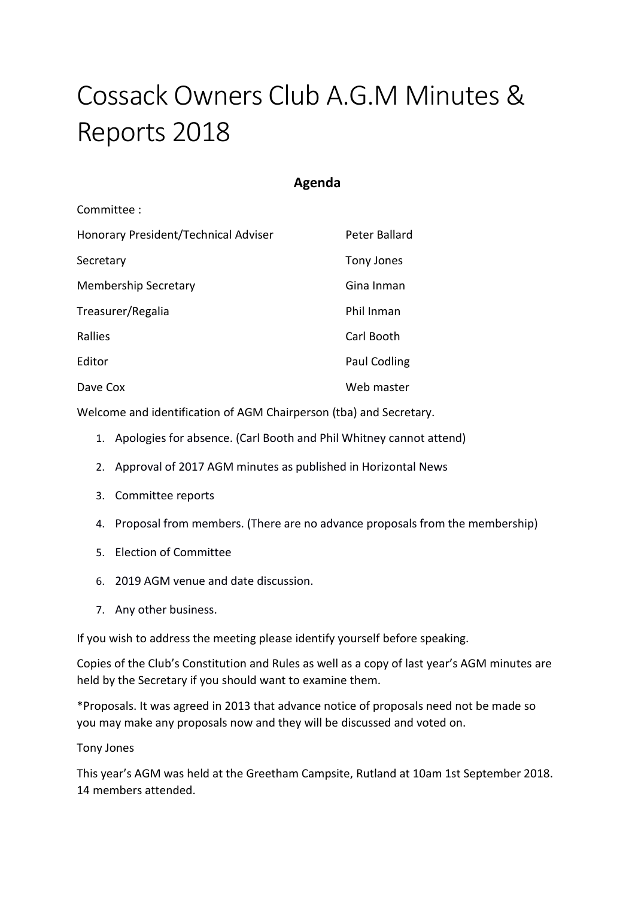# Cossack Owners Club A.G.M Minutes & Reports 2018

### **Agenda**

| Committee:                           |               |
|--------------------------------------|---------------|
| Honorary President/Technical Adviser | Peter Ballard |
| Secretary                            | Tony Jones    |
| <b>Membership Secretary</b>          | Gina Inman    |
| Treasurer/Regalia                    | Phil Inman    |
| <b>Rallies</b>                       | Carl Booth    |
| Editor                               | Paul Codling  |
| Dave Cox                             | Web master    |

Welcome and identification of AGM Chairperson (tba) and Secretary.

- 1. Apologies for absence. (Carl Booth and Phil Whitney cannot attend)
- 2. Approval of 2017 AGM minutes as published in Horizontal News
- 3. Committee reports
- 4. Proposal from members. (There are no advance proposals from the membership)
- 5. Election of Committee
- 6. 2019 AGM venue and date discussion.
- 7. Any other business.

If you wish to address the meeting please identify yourself before speaking.

Copies of the Club's Constitution and Rules as well as a copy of last year's AGM minutes are held by the Secretary if you should want to examine them.

\*Proposals. It was agreed in 2013 that advance notice of proposals need not be made so you may make any proposals now and they will be discussed and voted on.

Tony Jones

This year's AGM was held at the Greetham Campsite, Rutland at 10am 1st September 2018. 14 members attended.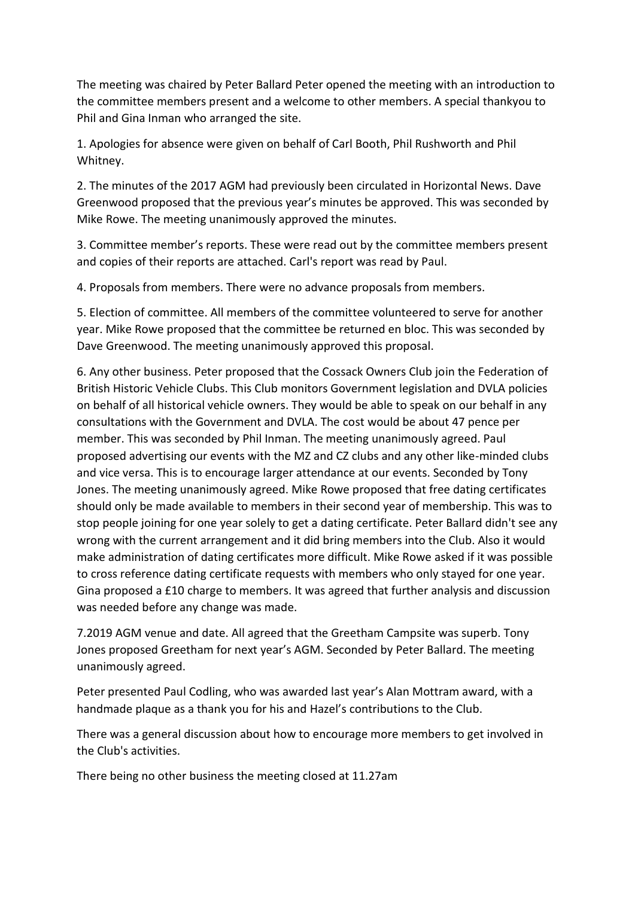The meeting was chaired by Peter Ballard Peter opened the meeting with an introduction to the committee members present and a welcome to other members. A special thankyou to Phil and Gina Inman who arranged the site.

1. Apologies for absence were given on behalf of Carl Booth, Phil Rushworth and Phil Whitney.

2. The minutes of the 2017 AGM had previously been circulated in Horizontal News. Dave Greenwood proposed that the previous year's minutes be approved. This was seconded by Mike Rowe. The meeting unanimously approved the minutes.

3. Committee member's reports. These were read out by the committee members present and copies of their reports are attached. Carl's report was read by Paul.

4. Proposals from members. There were no advance proposals from members.

5. Election of committee. All members of the committee volunteered to serve for another year. Mike Rowe proposed that the committee be returned en bloc. This was seconded by Dave Greenwood. The meeting unanimously approved this proposal.

6. Any other business. Peter proposed that the Cossack Owners Club join the Federation of British Historic Vehicle Clubs. This Club monitors Government legislation and DVLA policies on behalf of all historical vehicle owners. They would be able to speak on our behalf in any consultations with the Government and DVLA. The cost would be about 47 pence per member. This was seconded by Phil Inman. The meeting unanimously agreed. Paul proposed advertising our events with the MZ and CZ clubs and any other like-minded clubs and vice versa. This is to encourage larger attendance at our events. Seconded by Tony Jones. The meeting unanimously agreed. Mike Rowe proposed that free dating certificates should only be made available to members in their second year of membership. This was to stop people joining for one year solely to get a dating certificate. Peter Ballard didn't see any wrong with the current arrangement and it did bring members into the Club. Also it would make administration of dating certificates more difficult. Mike Rowe asked if it was possible to cross reference dating certificate requests with members who only stayed for one year. Gina proposed a £10 charge to members. It was agreed that further analysis and discussion was needed before any change was made.

7.2019 AGM venue and date. All agreed that the Greetham Campsite was superb. Tony Jones proposed Greetham for next year's AGM. Seconded by Peter Ballard. The meeting unanimously agreed.

Peter presented Paul Codling, who was awarded last year's Alan Mottram award, with a handmade plaque as a thank you for his and Hazel's contributions to the Club.

There was a general discussion about how to encourage more members to get involved in the Club's activities.

There being no other business the meeting closed at 11.27am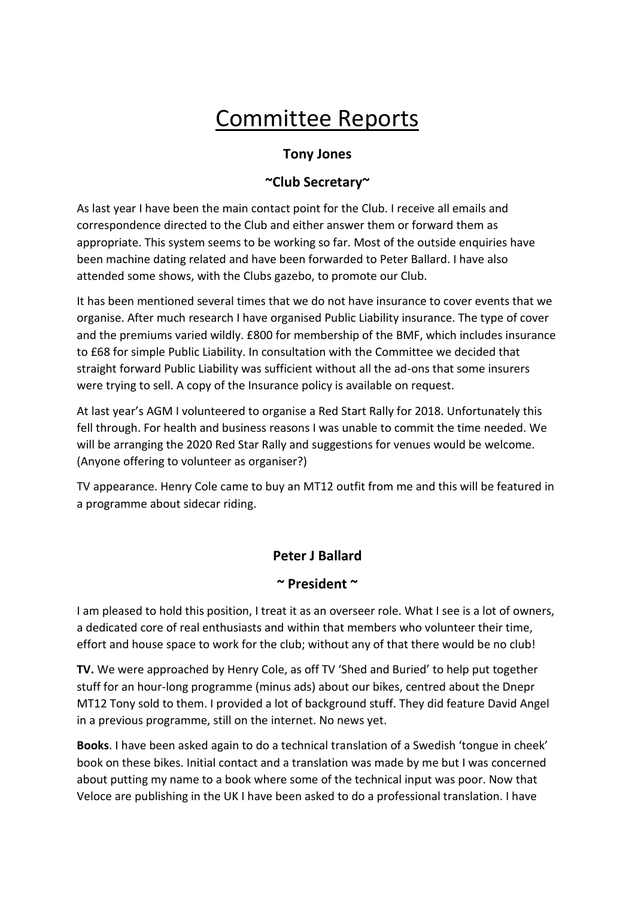# Committee Reports

# **Tony Jones**

# **~Club Secretary~**

As last year I have been the main contact point for the Club. I receive all emails and correspondence directed to the Club and either answer them or forward them as appropriate. This system seems to be working so far. Most of the outside enquiries have been machine dating related and have been forwarded to Peter Ballard. I have also attended some shows, with the Clubs gazebo, to promote our Club.

It has been mentioned several times that we do not have insurance to cover events that we organise. After much research I have organised Public Liability insurance. The type of cover and the premiums varied wildly. £800 for membership of the BMF, which includes insurance to £68 for simple Public Liability. In consultation with the Committee we decided that straight forward Public Liability was sufficient without all the ad-ons that some insurers were trying to sell. A copy of the Insurance policy is available on request.

At last year's AGM I volunteered to organise a Red Start Rally for 2018. Unfortunately this fell through. For health and business reasons I was unable to commit the time needed. We will be arranging the 2020 Red Star Rally and suggestions for venues would be welcome. (Anyone offering to volunteer as organiser?)

TV appearance. Henry Cole came to buy an MT12 outfit from me and this will be featured in a programme about sidecar riding.

# **Peter J Ballard**

#### **~ President ~**

I am pleased to hold this position, I treat it as an overseer role. What I see is a lot of owners, a dedicated core of real enthusiasts and within that members who volunteer their time, effort and house space to work for the club; without any of that there would be no club!

**TV.** We were approached by Henry Cole, as off TV 'Shed and Buried' to help put together stuff for an hour-long programme (minus ads) about our bikes, centred about the Dnepr MT12 Tony sold to them. I provided a lot of background stuff. They did feature David Angel in a previous programme, still on the internet. No news yet.

**Books**. I have been asked again to do a technical translation of a Swedish 'tongue in cheek' book on these bikes. Initial contact and a translation was made by me but I was concerned about putting my name to a book where some of the technical input was poor. Now that Veloce are publishing in the UK I have been asked to do a professional translation. I have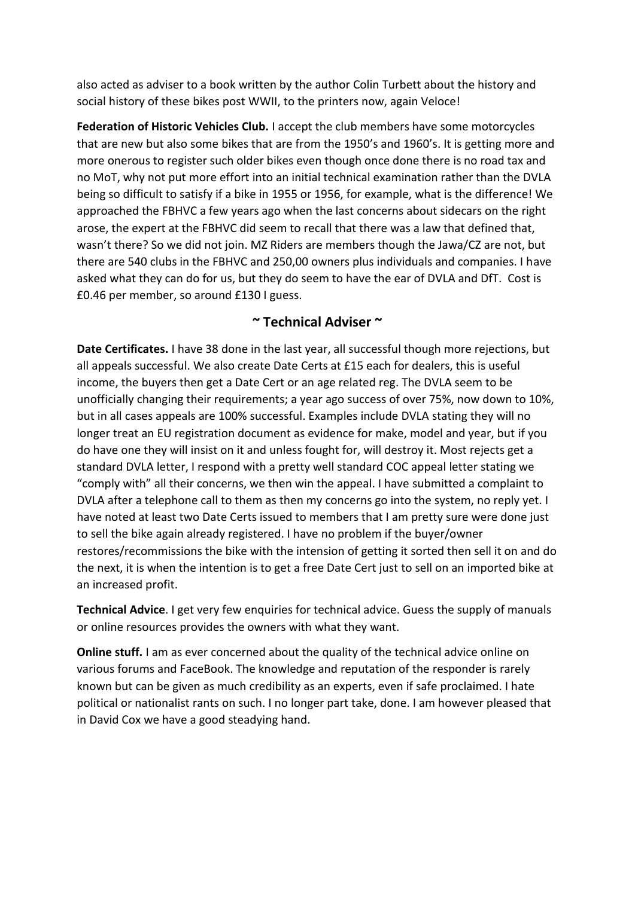also acted as adviser to a book written by the author Colin Turbett about the history and social history of these bikes post WWII, to the printers now, again Veloce!

**Federation of Historic Vehicles Club.** I accept the club members have some motorcycles that are new but also some bikes that are from the 1950's and 1960's. It is getting more and more onerous to register such older bikes even though once done there is no road tax and no MoT, why not put more effort into an initial technical examination rather than the DVLA being so difficult to satisfy if a bike in 1955 or 1956, for example, what is the difference! We approached the FBHVC a few years ago when the last concerns about sidecars on the right arose, the expert at the FBHVC did seem to recall that there was a law that defined that, wasn't there? So we did not join. MZ Riders are members though the Jawa/CZ are not, but there are 540 clubs in the FBHVC and 250,00 owners plus individuals and companies. I have asked what they can do for us, but they do seem to have the ear of DVLA and DfT. Cost is £0.46 per member, so around £130 I guess.

#### **~ Technical Adviser ~**

**Date Certificates.** I have 38 done in the last year, all successful though more rejections, but all appeals successful. We also create Date Certs at £15 each for dealers, this is useful income, the buyers then get a Date Cert or an age related reg. The DVLA seem to be unofficially changing their requirements; a year ago success of over 75%, now down to 10%, but in all cases appeals are 100% successful. Examples include DVLA stating they will no longer treat an EU registration document as evidence for make, model and year, but if you do have one they will insist on it and unless fought for, will destroy it. Most rejects get a standard DVLA letter, I respond with a pretty well standard COC appeal letter stating we "comply with" all their concerns, we then win the appeal. I have submitted a complaint to DVLA after a telephone call to them as then my concerns go into the system, no reply yet. I have noted at least two Date Certs issued to members that I am pretty sure were done just to sell the bike again already registered. I have no problem if the buyer/owner restores/recommissions the bike with the intension of getting it sorted then sell it on and do the next, it is when the intention is to get a free Date Cert just to sell on an imported bike at an increased profit.

**Technical Advice**. I get very few enquiries for technical advice. Guess the supply of manuals or online resources provides the owners with what they want.

**Online stuff.** I am as ever concerned about the quality of the technical advice online on various forums and FaceBook. The knowledge and reputation of the responder is rarely known but can be given as much credibility as an experts, even if safe proclaimed. I hate political or nationalist rants on such. I no longer part take, done. I am however pleased that in David Cox we have a good steadying hand.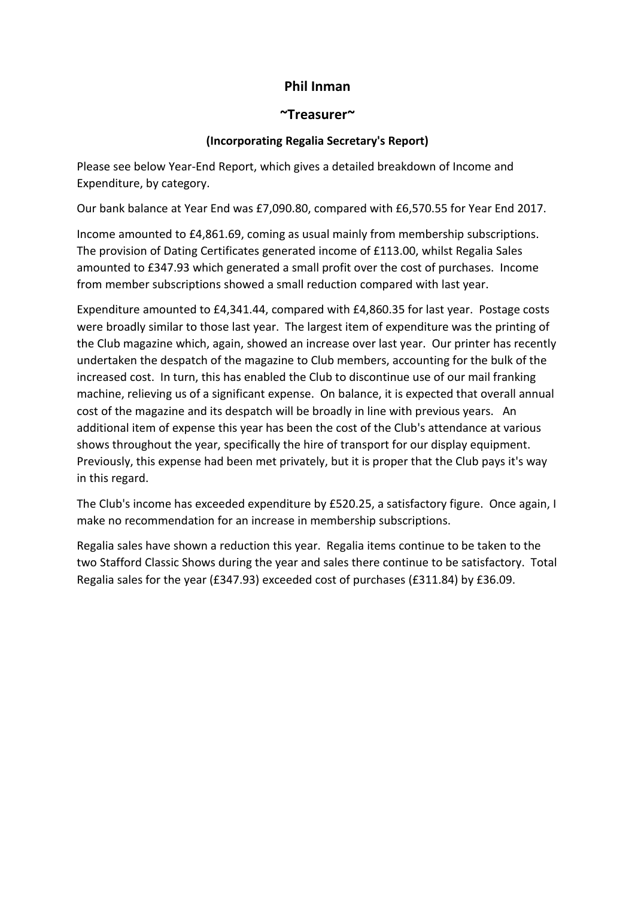## **Phil Inman**

#### **~Treasurer~**

#### **(Incorporating Regalia Secretary's Report)**

Please see below Year-End Report, which gives a detailed breakdown of Income and Expenditure, by category.

Our bank balance at Year End was £7,090.80, compared with £6,570.55 for Year End 2017.

Income amounted to £4,861.69, coming as usual mainly from membership subscriptions. The provision of Dating Certificates generated income of £113.00, whilst Regalia Sales amounted to £347.93 which generated a small profit over the cost of purchases. Income from member subscriptions showed a small reduction compared with last year.

Expenditure amounted to £4,341.44, compared with £4,860.35 for last year. Postage costs were broadly similar to those last year. The largest item of expenditure was the printing of the Club magazine which, again, showed an increase over last year. Our printer has recently undertaken the despatch of the magazine to Club members, accounting for the bulk of the increased cost. In turn, this has enabled the Club to discontinue use of our mail franking machine, relieving us of a significant expense. On balance, it is expected that overall annual cost of the magazine and its despatch will be broadly in line with previous years. An additional item of expense this year has been the cost of the Club's attendance at various shows throughout the year, specifically the hire of transport for our display equipment. Previously, this expense had been met privately, but it is proper that the Club pays it's way in this regard.

The Club's income has exceeded expenditure by £520.25, a satisfactory figure. Once again, I make no recommendation for an increase in membership subscriptions.

Regalia sales have shown a reduction this year. Regalia items continue to be taken to the two Stafford Classic Shows during the year and sales there continue to be satisfactory. Total Regalia sales for the year (£347.93) exceeded cost of purchases (£311.84) by £36.09.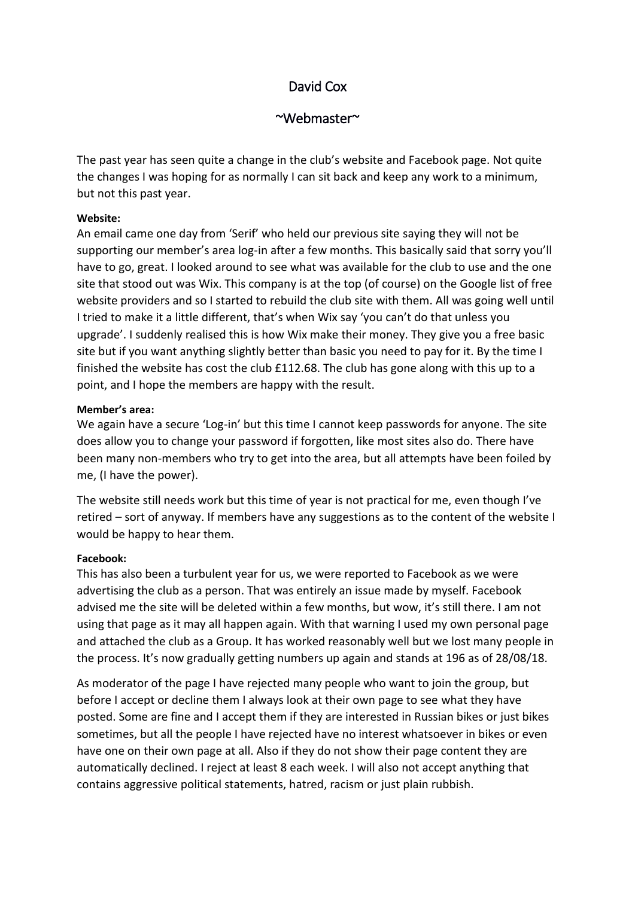# David Cox

#### ~Webmaster~

The past year has seen quite a change in the club's website and Facebook page. Not quite the changes I was hoping for as normally I can sit back and keep any work to a minimum, but not this past year.

#### **Website:**

An email came one day from 'Serif' who held our previous site saying they will not be supporting our member's area log-in after a few months. This basically said that sorry you'll have to go, great. I looked around to see what was available for the club to use and the one site that stood out was Wix. This company is at the top (of course) on the Google list of free website providers and so I started to rebuild the club site with them. All was going well until I tried to make it a little different, that's when Wix say 'you can't do that unless you upgrade'. I suddenly realised this is how Wix make their money. They give you a free basic site but if you want anything slightly better than basic you need to pay for it. By the time I finished the website has cost the club £112.68. The club has gone along with this up to a point, and I hope the members are happy with the result.

#### **Member's area:**

We again have a secure 'Log-in' but this time I cannot keep passwords for anyone. The site does allow you to change your password if forgotten, like most sites also do. There have been many non-members who try to get into the area, but all attempts have been foiled by me, (I have the power).

The website still needs work but this time of year is not practical for me, even though I've retired – sort of anyway. If members have any suggestions as to the content of the website I would be happy to hear them.

#### **Facebook:**

This has also been a turbulent year for us, we were reported to Facebook as we were advertising the club as a person. That was entirely an issue made by myself. Facebook advised me the site will be deleted within a few months, but wow, it's still there. I am not using that page as it may all happen again. With that warning I used my own personal page and attached the club as a Group. It has worked reasonably well but we lost many people in the process. It's now gradually getting numbers up again and stands at 196 as of 28/08/18.

As moderator of the page I have rejected many people who want to join the group, but before I accept or decline them I always look at their own page to see what they have posted. Some are fine and I accept them if they are interested in Russian bikes or just bikes sometimes, but all the people I have rejected have no interest whatsoever in bikes or even have one on their own page at all. Also if they do not show their page content they are automatically declined. I reject at least 8 each week. I will also not accept anything that contains aggressive political statements, hatred, racism or just plain rubbish.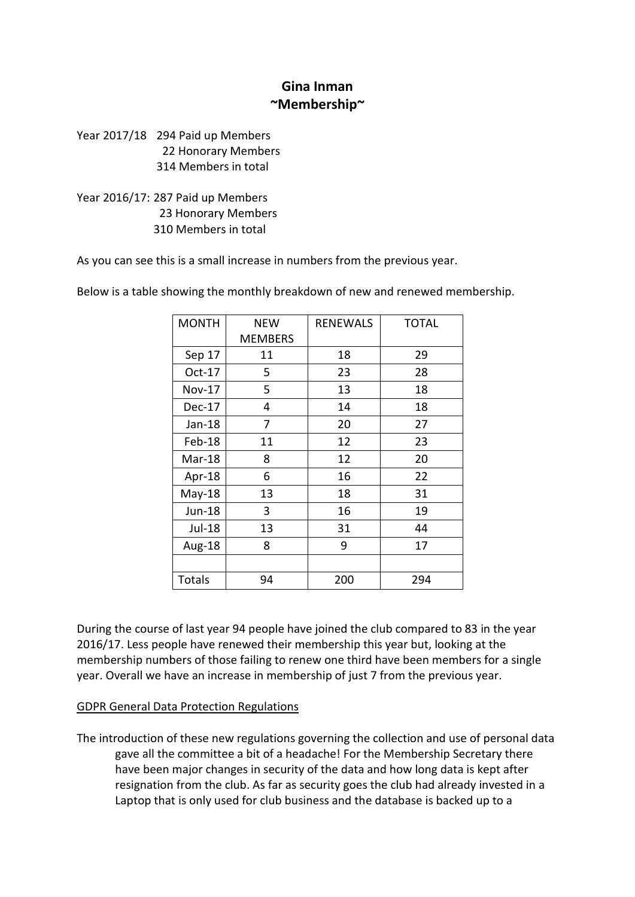# **Gina Inman ~Membership~**

Year 2017/18 294 Paid up Members 22 Honorary Members 314 Members in total

Year 2016/17: 287 Paid up Members 23 Honorary Members 310 Members in total

As you can see this is a small increase in numbers from the previous year.

| <b>MONTH</b>  | NEW            | <b>RENEWALS</b> | <b>TOTAL</b> |
|---------------|----------------|-----------------|--------------|
|               | <b>MEMBERS</b> |                 |              |
| Sep 17        | 11             | 18              | 29           |
| Oct-17        | 5              | 23              | 28           |
| <b>Nov-17</b> | 5              | 13              | 18           |
| Dec-17        | 4              | 14              | 18           |
| Jan-18        | 7              | 20              | 27           |
| Feb-18        | 11             | 12              | 23           |
| Mar-18        | 8              | 12              | 20           |
| Apr-18        | 6              | 16              | 22           |
| May-18        | 13             | 18              | 31           |
| Jun-18        | 3              | 16              | 19           |
| Jul-18        | 13             | 31              | 44           |
| Aug-18        | 8              | 9               | 17           |
|               |                |                 |              |
| <b>Totals</b> | 94             | 200             | 294          |

Below is a table showing the monthly breakdown of new and renewed membership.

During the course of last year 94 people have joined the club compared to 83 in the year 2016/17. Less people have renewed their membership this year but, looking at the membership numbers of those failing to renew one third have been members for a single year. Overall we have an increase in membership of just 7 from the previous year.

#### GDPR General Data Protection Regulations

The introduction of these new regulations governing the collection and use of personal data gave all the committee a bit of a headache! For the Membership Secretary there have been major changes in security of the data and how long data is kept after resignation from the club. As far as security goes the club had already invested in a Laptop that is only used for club business and the database is backed up to a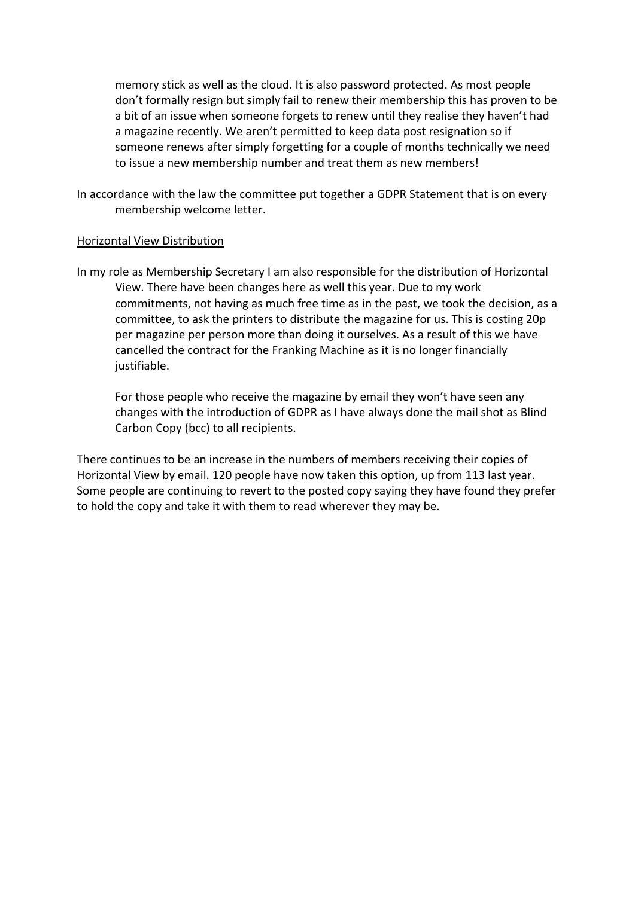memory stick as well as the cloud. It is also password protected. As most people don't formally resign but simply fail to renew their membership this has proven to be a bit of an issue when someone forgets to renew until they realise they haven't had a magazine recently. We aren't permitted to keep data post resignation so if someone renews after simply forgetting for a couple of months technically we need to issue a new membership number and treat them as new members!

In accordance with the law the committee put together a GDPR Statement that is on every membership welcome letter.

#### Horizontal View Distribution

In my role as Membership Secretary I am also responsible for the distribution of Horizontal View. There have been changes here as well this year. Due to my work commitments, not having as much free time as in the past, we took the decision, as a committee, to ask the printers to distribute the magazine for us. This is costing 20p per magazine per person more than doing it ourselves. As a result of this we have cancelled the contract for the Franking Machine as it is no longer financially justifiable.

For those people who receive the magazine by email they won't have seen any changes with the introduction of GDPR as I have always done the mail shot as Blind Carbon Copy (bcc) to all recipients.

There continues to be an increase in the numbers of members receiving their copies of Horizontal View by email. 120 people have now taken this option, up from 113 last year. Some people are continuing to revert to the posted copy saying they have found they prefer to hold the copy and take it with them to read wherever they may be.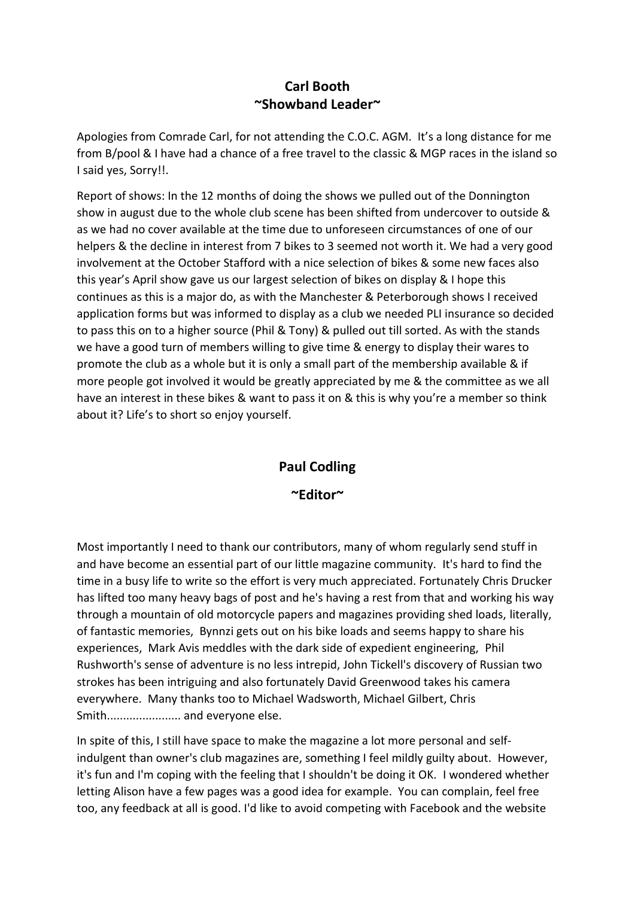# **Carl Booth ~Showband Leader~**

Apologies from Comrade Carl, for not attending the C.O.C. AGM. It's a long distance for me from B/pool & I have had a chance of a free travel to the classic & MGP races in the island so I said yes, Sorry!!.

Report of shows: In the 12 months of doing the shows we pulled out of the Donnington show in august due to the whole club scene has been shifted from undercover to outside & as we had no cover available at the time due to unforeseen circumstances of one of our helpers & the decline in interest from 7 bikes to 3 seemed not worth it. We had a very good involvement at the October Stafford with a nice selection of bikes & some new faces also this year's April show gave us our largest selection of bikes on display & I hope this continues as this is a major do, as with the Manchester & Peterborough shows I received application forms but was informed to display as a club we needed PLI insurance so decided to pass this on to a higher source (Phil & Tony) & pulled out till sorted. As with the stands we have a good turn of members willing to give time & energy to display their wares to promote the club as a whole but it is only a small part of the membership available & if more people got involved it would be greatly appreciated by me & the committee as we all have an interest in these bikes & want to pass it on & this is why you're a member so think about it? Life's to short so enjoy yourself.

#### **Paul Codling**

#### **~Editor~**

Most importantly I need to thank our contributors, many of whom regularly send stuff in and have become an essential part of our little magazine community. It's hard to find the time in a busy life to write so the effort is very much appreciated. Fortunately Chris Drucker has lifted too many heavy bags of post and he's having a rest from that and working his way through a mountain of old motorcycle papers and magazines providing shed loads, literally, of fantastic memories, Bynnzi gets out on his bike loads and seems happy to share his experiences, Mark Avis meddles with the dark side of expedient engineering, Phil Rushworth's sense of adventure is no less intrepid, John Tickell's discovery of Russian two strokes has been intriguing and also fortunately David Greenwood takes his camera everywhere. Many thanks too to Michael Wadsworth, Michael Gilbert, Chris Smith....................... and everyone else.

In spite of this, I still have space to make the magazine a lot more personal and selfindulgent than owner's club magazines are, something I feel mildly guilty about. However, it's fun and I'm coping with the feeling that I shouldn't be doing it OK. I wondered whether letting Alison have a few pages was a good idea for example. You can complain, feel free too, any feedback at all is good. I'd like to avoid competing with Facebook and the website